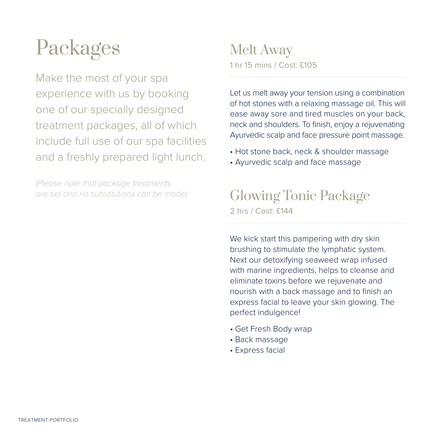# Packages

Make the most of your spa experience with us by booking one of our specially designed treatment packages, all of which include full use of our spa facilities and a freshly prepared light lunch.

*(Please note that package treatments are set and no substitutions can be made).*

#### Melt Away 1 hr 15 mins / Cost: £105

Let us melt away your tension using a combination of hot stones with a relaxing massage oil. This will ease away sore and tired muscles on your back, neck and shoulders. To finish, enjoy a rejuvenating Ayurvedic scalp and face pressure point massage.

- Hot stone back, neck & shoulder massage
- Ayurvedic scalp and face massage

Glowing Tonic Package 2 hrs / Cost: £144

We kick start this pampering with dry skin brushing to stimulate the lymphatic system. Next our detoxifying seaweed wrap infused with marine ingredients, helps to cleanse and eliminate toxins before we rejuvenate and nourish with a back massage and to finish an express facial to leave your skin glowing. The perfect indulgence!

- Get Fresh Body wrap
- Back massage
- Express facial